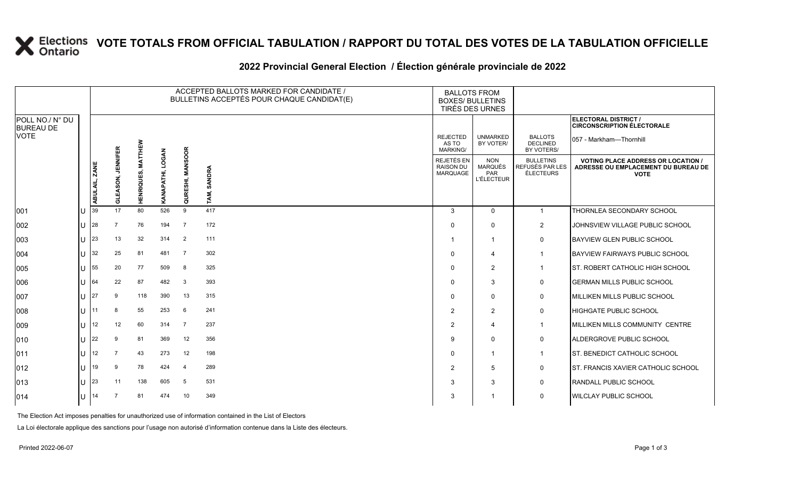### **VOTE TOTALS FROM OFFICIAL TABULATION / RAPPORT DU TOTAL DES VOTES DE LA TABULATION OFFICIELLE**

#### **2022 Provincial General Election / Élection générale provinciale de 2022**

|                                     |     |                         |                             |                   |                  | ACCEPTED BALLOTS MARKED FOR CANDIDATE /<br>BULLETINS ACCEPTÉS POUR CHAQUE CANDIDAT(E) | <b>BALLOTS FROM</b><br><b>BOXES/ BULLETINS</b><br>TIRÉS DES URNES |                                                   |                                                          |                                                  |                                                                                                 |
|-------------------------------------|-----|-------------------------|-----------------------------|-------------------|------------------|---------------------------------------------------------------------------------------|-------------------------------------------------------------------|---------------------------------------------------|----------------------------------------------------------|--------------------------------------------------|-------------------------------------------------------------------------------------------------|
| POLL NO./ N° DU<br><b>BUREAU DE</b> |     |                         |                             |                   |                  |                                                                                       |                                                                   |                                                   |                                                          |                                                  | ELECTORAL DISTRICT /<br><b>CIRCONSCRIPTION ÉLECTORALE</b>                                       |
| <b>VOTE</b>                         |     |                         |                             | MATTHEW           |                  |                                                                                       |                                                                   | <b>REJECTED</b><br>AS TO<br><b>MARKING/</b>       | <b>UNMARKED</b><br>BY VOTER/                             | <b>BALLOTS</b><br><b>DECLINED</b><br>BY VOTERS/  | 057 - Markham-Thornhill                                                                         |
|                                     |     | <b>ZANE</b><br>ABULAIL, | <b>JENNIFER</b><br>GLEASON, | <b>HENRIQUES,</b> | KANAPATHI, LOGAN | QURESHI, MANSOOR                                                                      | SANDRA<br>TAM,                                                    | <b>REJETÉS EN</b><br><b>RAISON DU</b><br>MARQUAGE | <b>NON</b><br>MARQUÉS<br><b>PAR</b><br><b>L'ÉLECTEUR</b> | <b>BULLETINS</b><br>REFUSÉS PAR LES<br>ÉLECTEURS | <b>VOTING PLACE ADDRESS OR LOCATION /</b><br>ADRESSE OU EMPLACEMENT DU BUREAU DE<br><b>VOTE</b> |
| 001                                 | lU  | 39                      | 17                          | 80                | 526              | 9                                                                                     | 417                                                               | 3                                                 | $\mathbf 0$                                              | $\mathbf{1}$                                     | THORNLEA SECONDARY SCHOOL                                                                       |
| 002                                 | lU  | 28                      |                             | 76                | 194              | $\overline{7}$                                                                        | 172                                                               | $\Omega$                                          | $\mathbf 0$                                              | $\overline{2}$                                   | JOHNSVIEW VILLAGE PUBLIC SCHOOL                                                                 |
| 003                                 | lu  | 23                      | 13                          | 32                | 314              | $\overline{2}$                                                                        | 111                                                               | -1                                                | $\overline{1}$                                           | $\mathbf 0$                                      | <b>BAYVIEW GLEN PUBLIC SCHOOL</b>                                                               |
| 004                                 | ΙU  | 32                      | 25                          | 81                | 481              | $\overline{7}$                                                                        | 302                                                               | $\Omega$                                          | $\overline{4}$                                           | $\overline{1}$                                   | <b>BAYVIEW FAIRWAYS PUBLIC SCHOOL</b>                                                           |
| 005                                 | lU  | 55                      | 20                          | 77                | 509              | 8                                                                                     | 325                                                               | $\Omega$                                          | 2                                                        | $\mathbf{1}$                                     | ST. ROBERT CATHOLIC HIGH SCHOOL                                                                 |
| 006                                 | Ш   | 64                      | 22                          | 87                | 482              | 3                                                                                     | 393                                                               | $\Omega$                                          | 3                                                        | 0                                                | <b>GERMAN MILLS PUBLIC SCHOOL</b>                                                               |
| 007                                 | lu  | 27                      | 9                           | 118               | 390              | 13                                                                                    | 315                                                               | $\Omega$                                          | $\mathbf 0$                                              | 0                                                | MILLIKEN MILLS PUBLIC SCHOOL                                                                    |
| 008                                 | ΙU  | 11                      | 8                           | 55                | 253              | 6                                                                                     | 241                                                               | 2                                                 | $\overline{2}$                                           | 0                                                | HIGHGATE PUBLIC SCHOOL                                                                          |
| 009                                 | lu  | 12                      | 12                          | 60                | 314              | $\overline{7}$                                                                        | 237                                                               | 2                                                 | $\overline{\mathbf{4}}$                                  | $\mathbf{1}$                                     | MILLIKEN MILLS COMMUNITY CENTRE                                                                 |
| 010                                 | Ш   | 22                      | 9                           | 81                | 369              | 12                                                                                    | 356                                                               | Q                                                 | $\Omega$                                                 | 0                                                | ALDERGROVE PUBLIC SCHOOL                                                                        |
| 011                                 | lu  | 12 <sup>°</sup>         |                             | 43                | 273              | 12                                                                                    | 198                                                               | $\Omega$                                          | $\overline{1}$                                           | $\mathbf{1}$                                     | ST. BENEDICT CATHOLIC SCHOOL                                                                    |
| $ 012\rangle$                       | lU  | 19                      | 9                           | 78                | 424              | $\overline{4}$                                                                        | 289                                                               | 2                                                 | 5                                                        | 0                                                | ST. FRANCIS XAVIER CATHOLIC SCHOOL                                                              |
| 013                                 | Ш   | 23                      | 11                          | 138               | 605              | 5                                                                                     | 531                                                               | 3                                                 | 3                                                        | 0                                                | <b>RANDALL PUBLIC SCHOOL</b>                                                                    |
| $ 014\rangle$                       | lU. | 14                      |                             | 81                | 474              | 10                                                                                    | 349                                                               | 3                                                 |                                                          | $\mathbf 0$                                      | <b>WILCLAY PUBLIC SCHOOL</b>                                                                    |

The Election Act imposes penalties for unauthorized use of information contained in the List of Electors

La Loi électorale applique des sanctions pour l'usage non autorisé d'information contenue dans la Liste des électeurs.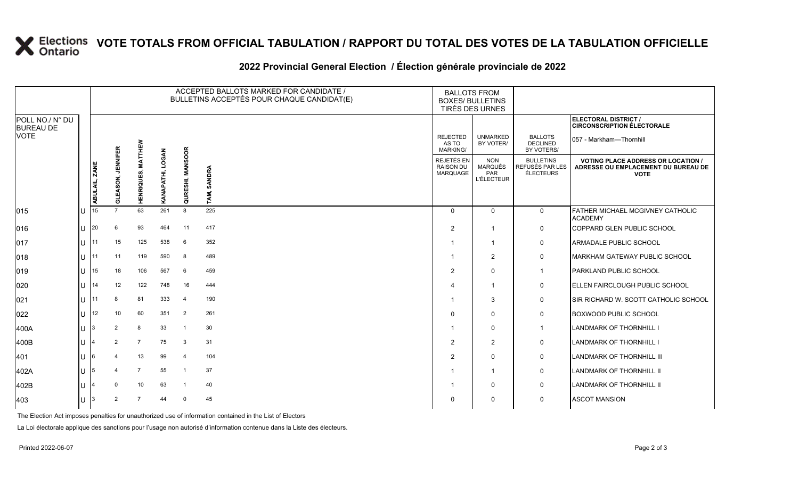# **X** Elections VOTE TOTALS FROM OFFICIAL TABULATION / RAPPORT DU TOTAL DES VOTES DE LA TABULATION OFFICIELLE

### **2022 Provincial General Election / Élection générale provinciale de 2022**

|                                     |              | ACCEPTED BALLOTS MARKED FOR CANDIDATE /<br>BULLETINS ACCEPTÉS POUR CHAQUE CANDIDAT(E) |                              |                       |              |                            |                | <b>BALLOTS FROM</b><br><b>BOXES/ BULLETINS</b><br>TIRÉS DES URNES |                                                   |                                                  |                                                                                                 |
|-------------------------------------|--------------|---------------------------------------------------------------------------------------|------------------------------|-----------------------|--------------|----------------------------|----------------|-------------------------------------------------------------------|---------------------------------------------------|--------------------------------------------------|-------------------------------------------------------------------------------------------------|
| POLL NO./ N° DU<br><b>BUREAU DE</b> |              |                                                                                       |                              |                       |              |                            |                |                                                                   |                                                   |                                                  | <b>ELECTORAL DISTRICT /</b><br><b>CIRCONSCRIPTION ÉLECTORALE</b>                                |
| VOTE                                |              |                                                                                       |                              | ξ                     |              |                            |                | <b>REJECTED</b><br>AS TO<br>MARKING/                              | <b>UNMARKED</b><br>BY VOTER/                      | <b>BALLOTS</b><br><b>DECLINED</b><br>BY VOTERS/  | 057 - Markham-Thornhill                                                                         |
|                                     |              | <b>ZANE</b><br>ABULAIL,                                                               | <b>JENNIFER</b><br>NOS.<br>ಕ | ≸<br>RIQUI<br>좂<br>Ξ. | <b>LOGAN</b> | <b>MANSOOR</b><br>QURESHI, | SANDRA<br>TAM, | REJETÉS EN<br><b>RAISON DU</b><br><b>MARQUAGE</b>                 | <b>NON</b><br>MARQUÉS<br>PAR<br><b>L'ÉLECTEUR</b> | <b>BULLETINS</b><br>REFUSÉS PAR LES<br>ÉLECTEURS | <b>VOTING PLACE ADDRESS OR LOCATION /</b><br>ADRESSE OU EMPLACEMENT DU BUREAU DE<br><b>VOTE</b> |
| 015                                 |              | 15                                                                                    | $\overline{7}$               | 63                    | 261          | 8                          | 225            | $\Omega$                                                          | $\mathbf 0$                                       | 0                                                | FATHER MICHAEL MCGIVNEY CATHOLIC<br><b>ACADEMY</b>                                              |
| 016                                 |              | 20                                                                                    | 6                            | 93                    | 464          | 11                         | 417            | $\overline{2}$                                                    | -1                                                | 0                                                | COPPARD GLEN PUBLIC SCHOOL                                                                      |
| 017                                 | $\mathbf{H}$ | 11                                                                                    | 15                           | 125                   | 538          | 6                          | 352            | -1                                                                | -1                                                | 0                                                | ARMADALE PUBLIC SCHOOL                                                                          |
| 018                                 | $\mathbf{H}$ | 11                                                                                    | 11                           | 119                   | 590          | 8                          | 489            | -1                                                                | $\overline{2}$                                    | $\mathbf 0$                                      | MARKHAM GATEWAY PUBLIC SCHOOL                                                                   |
| 019                                 | $\mathbf{L}$ | 15                                                                                    | 18                           | 106                   | 567          | 6                          | 459            | $\overline{2}$                                                    | $\Omega$                                          | $\mathbf{1}$                                     | PARKLAND PUBLIC SCHOOL                                                                          |
| 020                                 |              | 14                                                                                    | 12                           | 122                   | 748          | 16                         | 444            | $\boldsymbol{\Delta}$                                             | -1                                                | 0                                                | ELLEN FAIRCLOUGH PUBLIC SCHOOL                                                                  |
| 021                                 |              | 11                                                                                    | 8                            | 81                    | 333          | $\overline{4}$             | 190            |                                                                   | 3                                                 | 0                                                | SIR RICHARD W. SCOTT CATHOLIC SCHOOL                                                            |
| 022                                 | $\mathbf{H}$ | 12                                                                                    | 10                           | 60                    | 351          | 2                          | 261            | $\Omega$                                                          | $\Omega$                                          | 0                                                | <b>BOXWOOD PUBLIC SCHOOL</b>                                                                    |
| 400A                                |              |                                                                                       | 2                            | 8                     | 33           | -1                         | 30             | -1                                                                | $\mathbf{0}$                                      | $\mathbf{1}$                                     | LANDMARK OF THORNHILL I                                                                         |
| 400B                                |              |                                                                                       | 2                            | $\overline{7}$        | 75           | 3                          | 31             | $\overline{2}$                                                    | $\overline{2}$                                    | $\mathbf 0$                                      | <b>LANDMARK OF THORNHILL I</b>                                                                  |
| 401                                 |              |                                                                                       |                              | 13                    | 99           | $\overline{4}$             | 104            | $\overline{2}$                                                    | $\Omega$                                          | 0                                                | LANDMARK OF THORNHILL III                                                                       |
| 402A                                | $\mathbf{H}$ |                                                                                       |                              | $\overline{7}$        | 55           | $\mathbf 1$                | 37             | -1                                                                | -1                                                | 0                                                | LANDMARK OF THORNHILL II                                                                        |
| 402B                                |              |                                                                                       | $\Omega$                     | 10                    | 63           | -1                         | 40             | -1                                                                | $\Omega$                                          | 0                                                | LANDMARK OF THORNHILL II                                                                        |
| 403                                 |              |                                                                                       | 2                            | $\overline{7}$        | 44           | $\Omega$                   | 45             | $\Omega$                                                          | 0                                                 | 0                                                | <b>ASCOT MANSION</b>                                                                            |

The Election Act imposes penalties for unauthorized use of information contained in the List of Electors

La Loi électorale applique des sanctions pour l'usage non autorisé d'information contenue dans la Liste des électeurs.